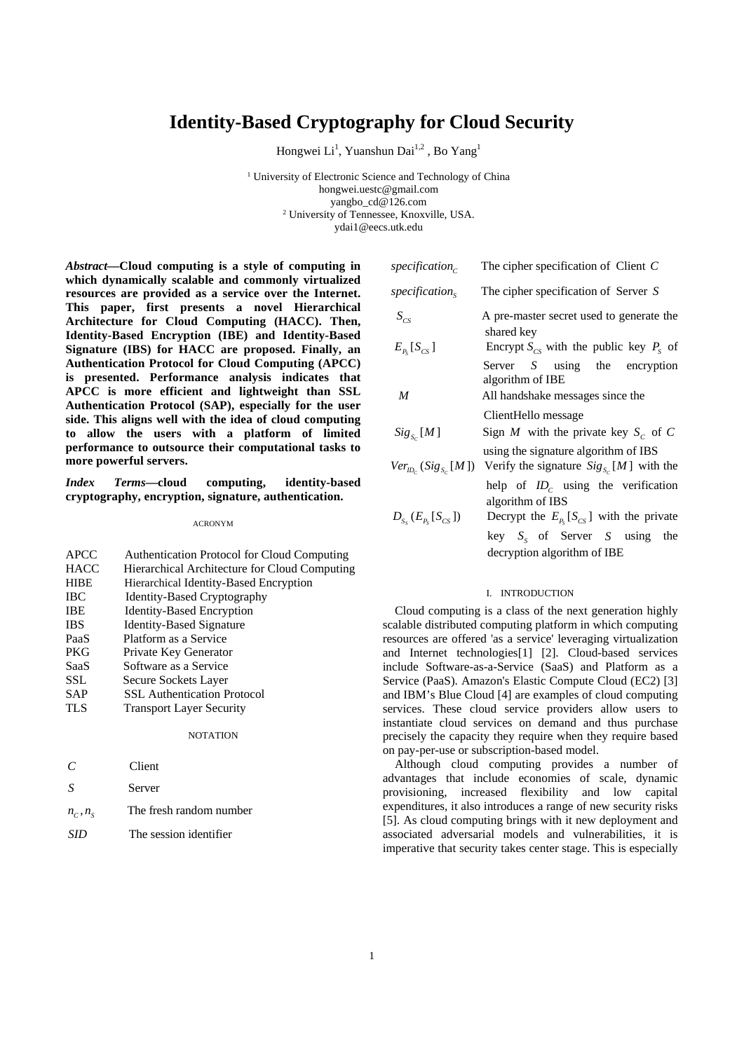# **Identity-Based Cryptography for Cloud Security**

Hongwei Li<sup>1</sup>, Yuanshun Dai<sup>1,2</sup>, Bo Yang<sup>1</sup>

<sup>1</sup> University of Electronic Science and Technology of China hongwei.uestc@gmail.com yangbo\_cd@126.com<br><sup>2</sup> University of Tennessee, Knoxville, USA. ydai1@eecs.utk.edu

*Abstract***—Cloud computing is a style of computing in which dynamically scalable and commonly virtualized resources are provided as a service over the Internet. This paper, first presents a novel Hierarchical Architecture for Cloud Computing (HACC). Then, Identity-Based Encryption (IBE) and Identity-Based Signature (IBS) for HACC are proposed. Finally, an Authentication Protocol for Cloud Computing (APCC) is presented. Performance analysis indicates that APCC is more efficient and lightweight than SSL Authentication Protocol (SAP), especially for the user side. This aligns well with the idea of cloud computing to allow the users with a platform of limited performance to outsource their computational tasks to more powerful servers.** 

*Index Terms***—cloud computing, identity-based cryptography, encryption, signature, authentication.** 

ACRONYM

| <b>APCC</b> | Authentication Protocol for Cloud Computing   |
|-------------|-----------------------------------------------|
| <b>HACC</b> | Hierarchical Architecture for Cloud Computing |
| <b>HIBE</b> | Hierarchical Identity-Based Encryption        |
| <b>IBC</b>  | <b>Identity-Based Cryptography</b>            |
| <b>IBE</b>  | <b>Identity-Based Encryption</b>              |
| <b>IBS</b>  | <b>Identity-Based Signature</b>               |
| PaaS        | Platform as a Service                         |
| <b>PKG</b>  | Private Key Generator                         |
| SaaS        | Software as a Service                         |
| <b>SSL</b>  | Secure Sockets Layer                          |
| <b>SAP</b>  | <b>SSL Authentication Protocol</b>            |
| <b>TLS</b>  | <b>Transport Layer Security</b>               |
|             | <b>NOTATION</b>                               |
|             | Client                                        |

| $\mathcal{S}$ | Server                  |
|---------------|-------------------------|
| $n_c$ , $n_s$ | The fresh random number |
| SID           | The session identifier  |

| specification $_{c}$       | The cipher specification of Client $C$                                                                               |  |  |
|----------------------------|----------------------------------------------------------------------------------------------------------------------|--|--|
| specification <sub>s</sub> | The cipher specification of Server S                                                                                 |  |  |
| $S_{CS}$                   | A pre-master secret used to generate the<br>shared key                                                               |  |  |
| $E_{P_{s}}[S_{CS}]$        | Encrypt $S_{cs}$ with the public key $P_s$ of                                                                        |  |  |
|                            | Server $S$ using the encryption<br>algorithm of IBE                                                                  |  |  |
| M                          | All handshake messages since the                                                                                     |  |  |
|                            | ClientHello message                                                                                                  |  |  |
| $Sig_{s_c}[M]$             | Sign M with the private key $S_c$ of C                                                                               |  |  |
|                            | using the signature algorithm of IBS<br>$Ver_{D_{c}}(Sig_{S_{c}}[M])$ Verify the signature $Sig_{S_{c}}[M]$ with the |  |  |
|                            | help of $ID_c$ using the verification                                                                                |  |  |

algorithm of IBS  $D_{S_n}(E_{P_n}[S_{CS}])$  Decrypt the  $E_{P_n}[S_{CS}']$  with the private key  $S_s$  of Server *S* using the decryption algorithm of IBE

### I. INTRODUCTION

Cloud computing is a class of the next generation highly scalable distributed computing platform in which computing resources are offered 'as a service' leveraging virtualization and Internet technologies[1] [2]. Cloud-based services include Software-as-a-Service (SaaS) and Platform as a Service (PaaS). Amazon's Elastic Compute Cloud (EC2) [3] and IBM's Blue Cloud [4] are examples of cloud computing services. These cloud service providers allow users to instantiate cloud services on demand and thus purchase precisely the capacity they require when they require based on pay-per-use or subscription-based model.

Although cloud computing provides a number of advantages that include economies of scale, dynamic provisioning, increased flexibility and low capital expenditures, it also introduces a range of new security risks [5]. As cloud computing brings with it new deployment and associated adversarial models and vulnerabilities, it is imperative that security takes center stage. This is especially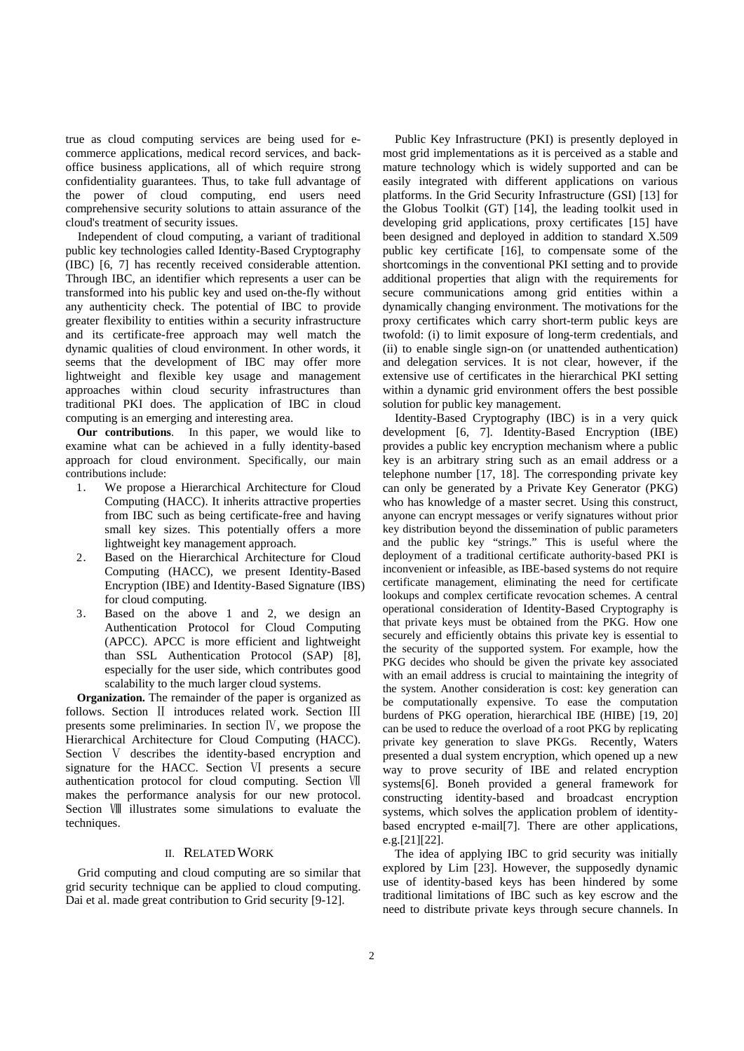true as cloud computing services are being used for ecommerce applications, medical record services, and backoffice business applications, all of which require strong confidentiality guarantees. Thus, to take full advantage of the power of cloud computing, end users need comprehensive security solutions to attain assurance of the cloud's treatment of security issues.

Independent of cloud computing, a variant of traditional public key technologies called Identity-Based Cryptography (IBC) [6, 7] has recently received considerable attention. Through IBC, an identifier which represents a user can be transformed into his public key and used on-the-fly without any authenticity check. The potential of IBC to provide greater flexibility to entities within a security infrastructure and its certificate-free approach may well match the dynamic qualities of cloud environment. In other words, it seems that the development of IBC may offer more lightweight and flexible key usage and management approaches within cloud security infrastructures than traditional PKI does. The application of IBC in cloud computing is an emerging and interesting area.

**Our contributions**. In this paper, we would like to examine what can be achieved in a fully identity-based approach for cloud environment. Specifically, our main contributions include:

- 1. We propose a Hierarchical Architecture for Cloud Computing (HACC). It inherits attractive properties from IBC such as being certificate-free and having small key sizes. This potentially offers a more lightweight key management approach.
- 2. Based on the Hierarchical Architecture for Cloud Computing (HACC), we present Identity-Based Encryption (IBE) and Identity-Based Signature (IBS) for cloud computing.
- 3. Based on the above 1 and 2, we design an Authentication Protocol for Cloud Computing (APCC). APCC is more efficient and lightweight than SSL Authentication Protocol (SAP) [8], especially for the user side, which contributes good scalability to the much larger cloud systems.

**Organization.** The remainder of the paper is organized as follows. Section II introduces related work. Section III presents some preliminaries. In section Ⅳ, we propose the Hierarchical Architecture for Cloud Computing (HACC). Section V describes the identity-based encryption and signature for the HACC. Section Ⅵ presents a secure authentication protocol for cloud computing. Section Ⅶ makes the performance analysis for our new protocol. Section Ⅷ illustrates some simulations to evaluate the techniques.

## II. RELATED WORK

Grid computing and cloud computing are so similar that grid security technique can be applied to cloud computing. Dai et al. made great contribution to Grid security [9-12].

Public Key Infrastructure (PKI) is presently deployed in most grid implementations as it is perceived as a stable and mature technology which is widely supported and can be easily integrated with different applications on various platforms. In the Grid Security Infrastructure (GSI) [13] for the Globus Toolkit (GT) [14], the leading toolkit used in developing grid applications, proxy certificates [15] have been designed and deployed in addition to standard X.509 public key certificate [16], to compensate some of the shortcomings in the conventional PKI setting and to provide additional properties that align with the requirements for secure communications among grid entities within a dynamically changing environment. The motivations for the proxy certificates which carry short-term public keys are twofold: (i) to limit exposure of long-term credentials, and (ii) to enable single sign-on (or unattended authentication) and delegation services. It is not clear, however, if the extensive use of certificates in the hierarchical PKI setting within a dynamic grid environment offers the best possible solution for public key management.

Identity-Based Cryptography (IBC) is in a very quick development [6, 7]. Identity-Based Encryption (IBE) provides a public key encryption mechanism where a public key is an arbitrary string such as an email address or a telephone number [17, 18]. The corresponding private key can only be generated by a Private Key Generator (PKG) who has knowledge of a master secret. Using this construct, anyone can encrypt messages or verify signatures without prior key distribution beyond the dissemination of public parameters and the public key "strings." This is useful where the deployment of a traditional certificate authority-based PKI is inconvenient or infeasible, as IBE-based systems do not require certificate management, eliminating the need for certificate lookups and complex certificate revocation schemes. A central operational consideration of Identity-Based Cryptography is that private keys must be obtained from the PKG. How one securely and efficiently obtains this private key is essential to the security of the supported system. For example, how the PKG decides who should be given the private key associated with an email address is crucial to maintaining the integrity of the system. Another consideration is cost: key generation can be computationally expensive. To ease the computation burdens of PKG operation, hierarchical IBE (HIBE) [19, 20] can be used to reduce the overload of a root PKG by replicating private key generation to slave PKGs. Recently, Waters presented a dual system encryption, which opened up a new way to prove security of IBE and related encryption systems[6]. Boneh provided a general framework for constructing identity-based and broadcast encryption systems, which solves the application problem of identitybased encrypted e-mail[7]. There are other applications, e.g.[21][22].

The idea of applying IBC to grid security was initially explored by Lim [23]. However, the supposedly dynamic use of identity-based keys has been hindered by some traditional limitations of IBC such as key escrow and the need to distribute private keys through secure channels. In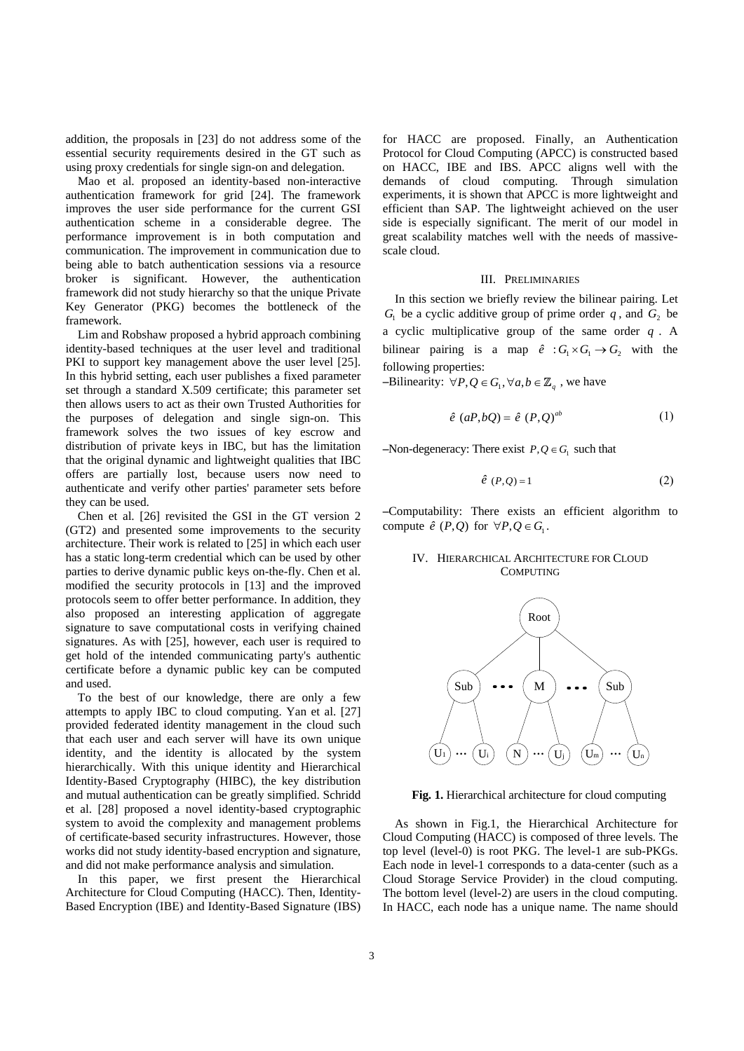addition, the proposals in [23] do not address some of the essential security requirements desired in the GT such as using proxy credentials for single sign-on and delegation.

Mao et al. proposed an identity-based non-interactive authentication framework for grid [24]. The framework improves the user side performance for the current GSI authentication scheme in a considerable degree. The performance improvement is in both computation and communication. The improvement in communication due to being able to batch authentication sessions via a resource broker is significant. However, the authentication framework did not study hierarchy so that the unique Private Key Generator (PKG) becomes the bottleneck of the framework.

Lim and Robshaw proposed a hybrid approach combining identity-based techniques at the user level and traditional PKI to support key management above the user level [25]. In this hybrid setting, each user publishes a fixed parameter set through a standard X.509 certificate; this parameter set then allows users to act as their own Trusted Authorities for the purposes of delegation and single sign-on. This framework solves the two issues of key escrow and distribution of private keys in IBC, but has the limitation that the original dynamic and lightweight qualities that IBC offers are partially lost, because users now need to authenticate and verify other parties' parameter sets before they can be used.

Chen et al. [26] revisited the GSI in the GT version 2 (GT2) and presented some improvements to the security architecture. Their work is related to [25] in which each user has a static long-term credential which can be used by other parties to derive dynamic public keys on-the-fly. Chen et al*.*  modified the security protocols in [13] and the improved protocols seem to offer better performance. In addition, they also proposed an interesting application of aggregate signature to save computational costs in verifying chained signatures. As with [25], however, each user is required to get hold of the intended communicating party's authentic certificate before a dynamic public key can be computed and used.

To the best of our knowledge, there are only a few attempts to apply IBC to cloud computing. Yan et al. [27] provided federated identity management in the cloud such that each user and each server will have its own unique identity, and the identity is allocated by the system hierarchically. With this unique identity and Hierarchical Identity-Based Cryptography (HIBC), the key distribution and mutual authentication can be greatly simplified. Schridd et al. [28] proposed a novel identity-based cryptographic system to avoid the complexity and management problems of certificate-based security infrastructures. However, those works did not study identity-based encryption and signature, and did not make performance analysis and simulation.

In this paper, we first present the Hierarchical Architecture for Cloud Computing (HACC). Then, Identity-Based Encryption (IBE) and Identity-Based Signature (IBS)

for HACC are proposed. Finally, an Authentication Protocol for Cloud Computing (APCC) is constructed based on HACC, IBE and IBS. APCC aligns well with the demands of cloud computing. Through simulation experiments, it is shown that APCC is more lightweight and efficient than SAP. The lightweight achieved on the user side is especially significant. The merit of our model in great scalability matches well with the needs of massivescale cloud.

#### III. PRELIMINARIES

In this section we briefly review the bilinear pairing. Let  $G_1$  be a cyclic additive group of prime order  $q$ , and  $G_2$  be a cyclic multiplicative group of the same order *q* . A bilinear pairing is a map  $\hat{e}$  :  $G_1 \times G_1 \rightarrow G_2$  with the following properties:

 $-\text{Bilinearity: } \forall P, Q \in G_1, \forall a, b \in \mathbb{Z}_a$ , we have

$$
\hat{e} \ (aP, bQ) = \hat{e} \ (P, Q)^{ab} \tag{1}
$$

 $–Non-degeneracy: There exist  $P, Q \in G$  such that$ 

$$
\hat{e}(P,Q) = 1 \tag{2}
$$

**–**Computability: There exists an efficient algorithm to compute  $\hat{e}$  (*P*, *Q*) for  $\forall P, Q \in G_1$ .

### IV. HIERARCHICAL ARCHITECTURE FOR CLOUD **COMPUTING**



**Fig. 1.** Hierarchical architecture for cloud computing

As shown in Fig.1, the Hierarchical Architecture for Cloud Computing (HACC) is composed of three levels. The top level (level-0) is root PKG. The level-1 are sub-PKGs. Each node in level-1 corresponds to a data-center (such as a Cloud Storage Service Provider) in the cloud computing. The bottom level (level-2) are users in the cloud computing. In HACC, each node has a unique name. The name should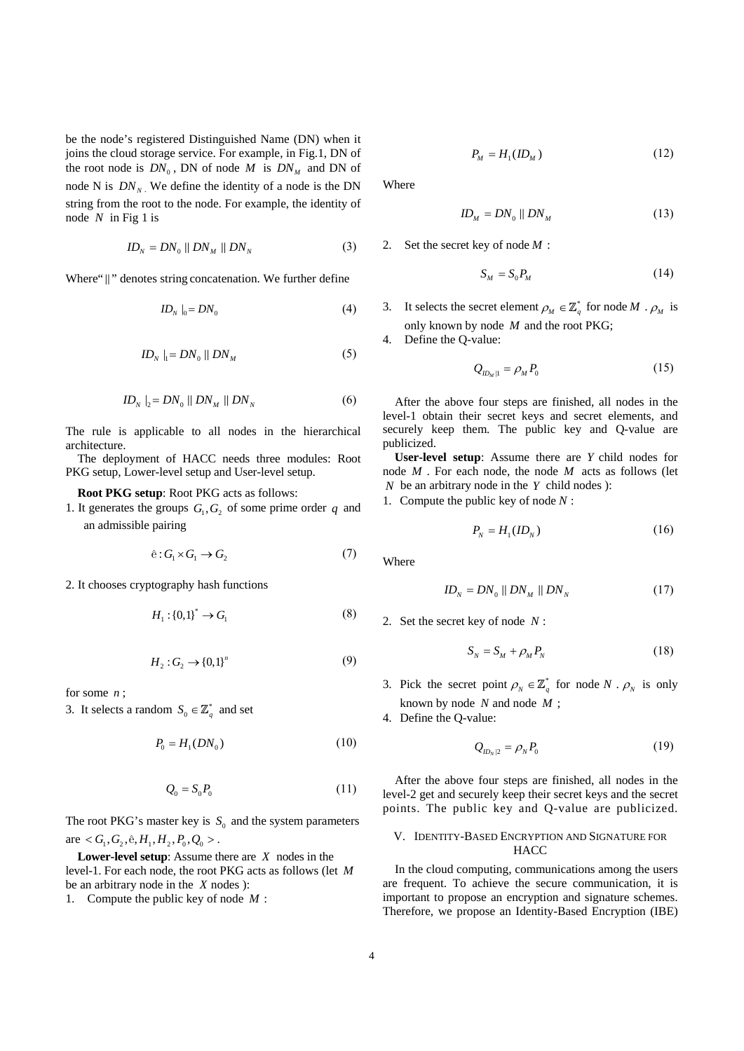be the node's registered Distinguished Name (DN) when it joins the cloud storage service. For example, in Fig.1, DN of the root node is  $DN_0$ , DN of node *M* is  $DN_M$  and DN of node N is  $DN_N$ . We define the identity of a node is the DN string from the root to the node. For example, the identity of node *N* in Fig 1 is

$$
ID_N = DN_0 || DN_M || DN_N \tag{3}
$$

Where" ||" denotes string concatenation. We further define

$$
ID_{N}|_{0} = DN_{0}
$$
 (4)

$$
ID_N \mid_1 = DN_0 \parallel DN_M \tag{5}
$$

$$
ID_N |_{2} = DN_0 | | DN_M | | DN_N
$$
 (6)

The rule is applicable to all nodes in the hierarchical architecture.

The deployment of HACC needs three modules: Root PKG setup, Lower-level setup and User-level setup.

#### **Root PKG setup**: Root PKG acts as follows:

1. It generates the groups  $G_1, G_2$  of some prime order  $q$  and an admissible pairing

$$
\hat{e}: G_1 \times G_1 \to G_2 \tag{7}
$$

2. It chooses cryptography hash functions

$$
H_1: \{0,1\}^* \to G_1 \tag{8}
$$

$$
H_2: G_2 \to \{0,1\}^n \tag{9}
$$

for some *n* ;

3. It selects a random  $S_0 \in \mathbb{Z}_q^*$  and set

$$
P_0 = H_1(DN_0)
$$
 (10)

$$
Q_0 = S_0 P_0 \tag{11}
$$

The root PKG's master key is  $S_0$  and the system parameters are  $\langle G_1, G_2, \hat{e}, H_1, H_2, P_0, Q_0 \rangle$ .

**Lower-level setup**: Assume there are *X* nodes in the level-1. For each node, the root PKG acts as follows (let *M* be an arbitrary node in the *X* nodes ):

1. Compute the public key of node *M* :

$$
P_M = H_1(ID_M) \tag{12}
$$

Where

$$
ID_M = DN_0 \parallel DN_M \tag{13}
$$

2. Set the secret key of node *M* :

$$
S_M = S_0 P_M \tag{14}
$$

3. It selects the secret element  $\rho_M \in \mathbb{Z}_a^*$  for node *M* .  $\rho_M$  is only known by node *M* and the root PKG;

4. Define the Q-value:

$$
Q_{ID_M|1} = \rho_M P_0 \tag{15}
$$

After the above four steps are finished, all nodes in the level-1 obtain their secret keys and secret elements, and securely keep them. The public key and Q-value are publicized.

**User-level setup**: Assume there are *Y* child nodes for node *M* . For each node, the node *M* acts as follows (let *N* be an arbitrary node in the *Y* child nodes ):

1. Compute the public key of node *N* :

$$
P_N = H_1(ID_N) \tag{16}
$$

Where

$$
ID_N = DN_0 \parallel DN_M \parallel DN_N \tag{17}
$$

2. Set the secret key of node *N* :

$$
S_N = S_M + \rho_M P_N \tag{18}
$$

3. Pick the secret point  $\rho_N \in \mathbb{Z}_q^*$  for node *N* .  $\rho_N$  is only known by node *N* and node *M* ;

4. Define the Q-value:

$$
Q_{ID_N|2} = \rho_N P_0 \tag{19}
$$

 After the above four steps are finished, all nodes in the level-2 get and securely keep their secret keys and the secret points. The public key and Q-value are publicized.

### V. IDENTITY-BASED ENCRYPTION AND SIGNATURE FOR **HACC**

In the cloud computing, communications among the users are frequent. To achieve the secure communication, it is important to propose an encryption and signature schemes. Therefore, we propose an Identity-Based Encryption (IBE)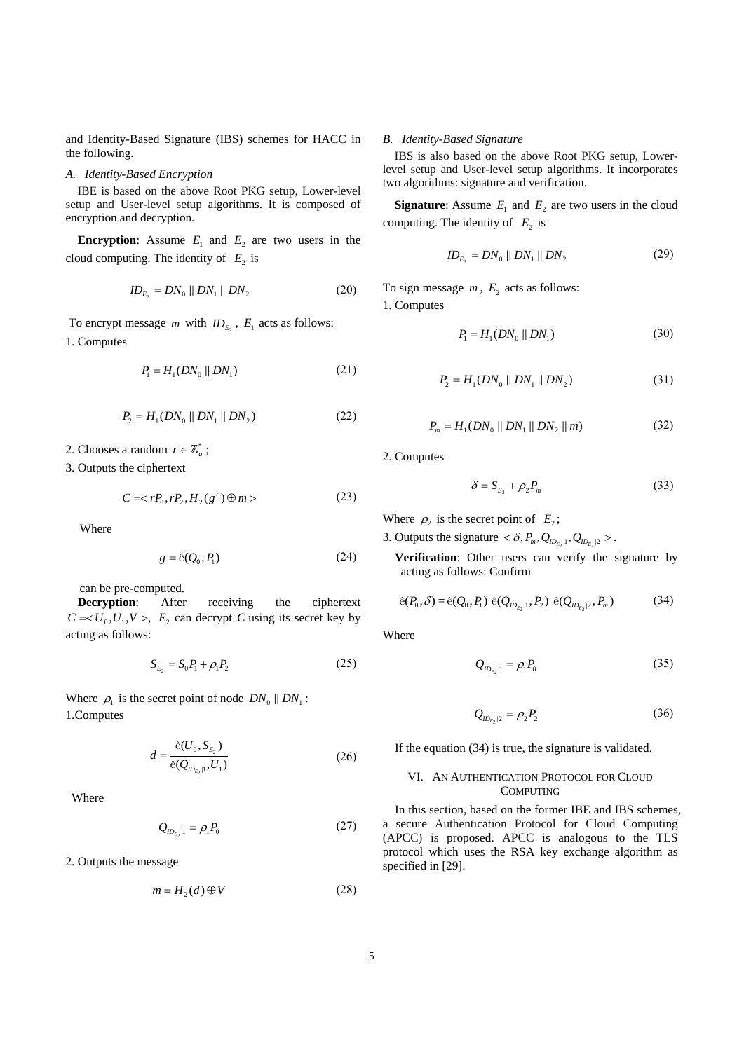and Identity-Based Signature (IBS) schemes for HACC in the following.

### *A. Identity-Based Encryption*

IBE is based on the above Root PKG setup, Lower-level setup and User-level setup algorithms. It is composed of encryption and decryption.

**Encryption:** Assume  $E_1$  and  $E_2$  are two users in the cloud computing. The identity of  $E<sub>2</sub>$  is

$$
ID_{E_2} = DN_0 || DN_1 || DN_2 \tag{20}
$$

To encrypt message *m* with  $ID_{E_2}$ ,  $E_1$  acts as follows: 1. Computes

$$
P_1 = H_1(DN_0 \, \| \, DN_1) \tag{21}
$$

$$
P_2 = H_1(DN_0 \parallel DN_1 \parallel DN_2)
$$
 (22)

2. Chooses a random  $r \in \mathbb{Z}_q^*$ ;

3. Outputs the ciphertext

$$
C = \langle rP_0, rP_2, H_2(g^r) \oplus m \rangle \tag{23}
$$

Where

$$
g = \hat{e}(Q_0, P_1) \tag{24}
$$

can be pre-computed.

**Decryption**: After receiving the ciphertext  $C = < U_0, U_1, V >$ ,  $E_2$  can decrypt *C* using its secret key by acting as follows:

$$
S_{E_2} = S_0 P_1 + \rho_1 P_2 \tag{25}
$$

Where  $\rho_1$  is the secret point of node  $DN_0 \parallel DN_1$ : 1.Computes

$$
d = \frac{\hat{e}(U_0, S_{E_2})}{\hat{e}(Q_{m_{E_2}|1}, U_1)}
$$
(26)

Where

$$
Q_{ID_{E_2} \mid l} = \rho_l P_0 \tag{27}
$$

2. Outputs the message

$$
m = H_2(d) \oplus V \tag{28}
$$

#### *B. Identity-Based Signature*

IBS is also based on the above Root PKG setup, Lowerlevel setup and User-level setup algorithms. It incorporates two algorithms: signature and verification.

**Signature**: Assume  $E_1$  and  $E_2$  are two users in the cloud computing. The identity of  $E_2$  is

$$
ID_{E_2} = DN_0 || DN_1 || DN_2 \tag{29}
$$

To sign message  $m$ ,  $E_2$  acts as follows: 1. Computes

$$
P_1 = H_1(DN_0 \parallel DN_1) \tag{30}
$$

$$
P_2 = H_1(DN_0 \parallel DN_1 \parallel DN_2)
$$
 (31)

$$
P_m = H_1(DN_0 \parallel DN_1 \parallel DN_2 \parallel m) \tag{32}
$$

2. Computes

$$
\delta = S_{E_2} + \rho_2 P_m \tag{33}
$$

Where  $\rho_2$  is the secret point of  $E_2$ ;

3. Outputs the signature  $\langle \delta, P_m, Q_{i D_{E}, |1}, Q_{i D_{E}, |2} \rangle$ .

**Verification**: Other users can verify the signature by acting as follows: Confirm

$$
\hat{e}(P_0, \delta) = \hat{e}(Q_0, P_1) \hat{e}(Q_{ID_{E_2}|1}, P_2) \hat{e}(Q_{ID_{E_2}|2}, P_m)
$$
(34)

Where

$$
Q_{ID_{E_2} \mid l} = \rho_l P_0 \tag{35}
$$

$$
Q_{ID_{E_2}|2} = \rho_2 P_2 \tag{36}
$$

If the equation (34) is true, the signature is validated.

### VI. AN AUTHENTICATION PROTOCOL FOR CLOUD **COMPUTING**

In this section, based on the former IBE and IBS schemes, a secure Authentication Protocol for Cloud Computing (APCC) is proposed. APCC is analogous to the TLS protocol which uses the RSA key exchange algorithm as specified in [29].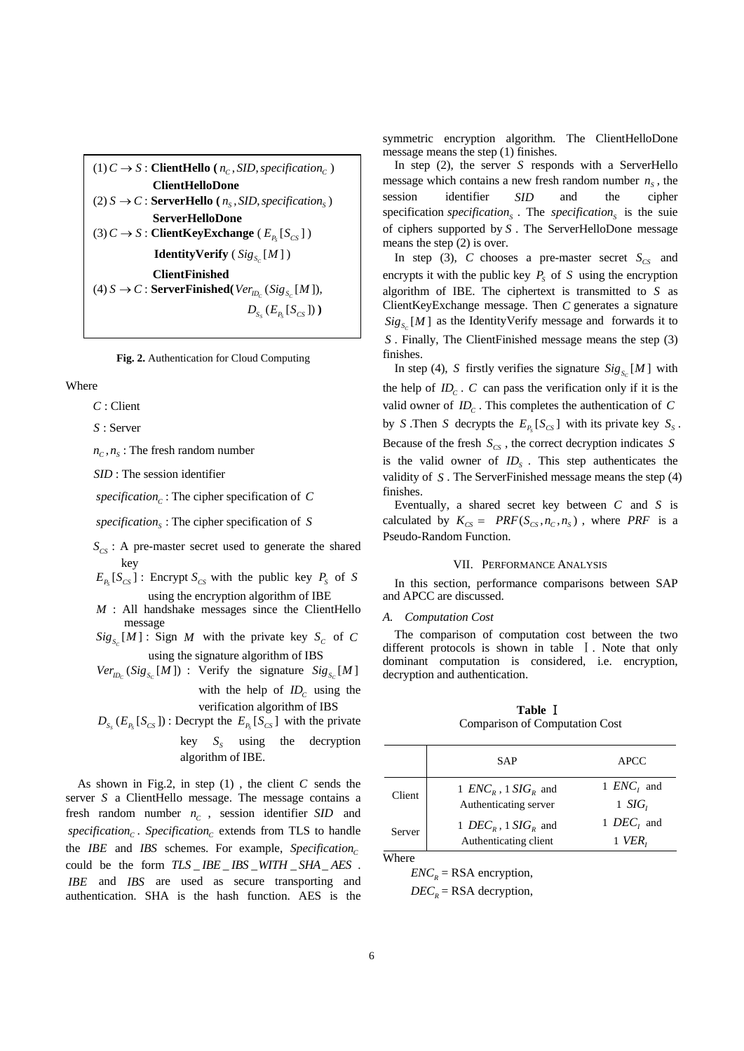$(1)$   $C \rightarrow S$  : **ClientHello** ( $n_c$ , *SID*, *specification*<sub>c</sub>) **ClientHelloDone**  $(2)$  *S*  $\rightarrow$  *C* : **ServerHello** ( $n<sub>s</sub>$ , *SID*, *specification*<sub>*s*</sub>) **ServerHelloDone**  $(3) C \rightarrow S$ : **ClientKeyExchange**  $(E_{p_s}[S_{CS}])$ **IdentityVerify**  $(Sig_s[M])$ **ClientFinished**  $(4)$  *S*  $\rightarrow$  *C* : **ServerFinished**( $Ver_{D_C}$  ( $Sig_{S_C}$  [*M*]),  $D_{S_{c}}( E_{P_{c}}[ S_{CS}]) )$ 

**Fig. 2.** Authentication for Cloud Computing

Where

*C* : Client

*S* : Server

 $n_c$ ,  $n_s$ : The fresh random number

*SID* : The session identifier

 $specification<sub>c</sub>:$  The cipher specification of *C* 

*<sup>S</sup> specification* : The cipher specification of *S*

- $S_{CS}$ : A pre-master secret used to generate the shared key
- $E_{P_s}[ S_{CS} ]$ : Encrypt  $S_{CS}$  with the public key  $P_s$  of *S* using the encryption algorithm of IBE
- *M* : All handshake messages since the ClientHello message
- $Sig_{S_0}[M]$ : Sign *M* with the private key  $S_C$  of C using the signature algorithm of IBS
- $Ver_{D_c}$  (Sig<sub>S<sub>*c*</sub></sub> [M ]) : Verify the signature  $Sig_{S_c}$  [M ]

with the help of  $ID_c$  using the verification algorithm of IBS

 $D_{S_s}$   $(E_{P_s}[S_{CS}])$ : Decrypt the  $E_{P_s}[S_{CS}]$  with the private key  $S_s$  using the decryption algorithm of IBE.

As shown in Fig.2, in step (1) , the client *C* sends the server *S* a ClientHello message. The message contains a fresh random number  $n_c$ , session identifier *SID* and *. <i>Specification*<sub>c</sub> extends from TLS to handle the *IBE* and *IBS* schemes. For example, *Specification*<sub>c</sub> could be the form  $TLS$   $*IBS*$  $*WITH*$  $*SHA*$  $*AES*$  *. IBE* and *IBS* are used as secure transporting and authentication. SHA is the hash function. AES is the

symmetric encryption algorithm. The ClientHelloDone message means the step (1) finishes.

In step (2), the server *S* responds with a ServerHello message which contains a new fresh random number  $n<sub>s</sub>$ , the session identifier *SID* and the cipher specification *<sup>S</sup> specification* . The *<sup>S</sup> specification* is the suie of ciphers supported by *S* . The ServerHelloDone message means the step (2) is over.

In step (3), *C* chooses a pre-master secret  $S_{CS}$  and encrypts it with the public key  $P<sub>s</sub>$  of *S* using the encryption algorithm of IBE. The ciphertext is transmitted to *S* as ClientKeyExchange message. Then *C* generates a signature  $Sig_{s_n}[M]$  as the IdentityVerify message and forwards it to *S* . Finally, The ClientFinished message means the step (3) finishes.

In step (4), *S* firstly verifies the signature  $\operatorname{Sig}_{S_c}[M]$  with the help of  $ID_c$ .  $C$  can pass the verification only if it is the valid owner of  $ID_c$ . This completes the authentication of  $C$ by *S*. Then *S* decrypts the  $E_{P_1}[S_{CS}]$  with its private key  $S_S$ . Because of the fresh  $S_{CS}$ , the correct decryption indicates *S* is the valid owner of  $ID<sub>s</sub>$ . This step authenticates the validity of *S* . The ServerFinished message means the step (4) finishes.

Eventually, a shared secret key between *C* and *S* is calculated by  $K_{CS} = PRF(S_{CS}, n_C, n_S)$ , where *PRF* is a Pseudo-Random Function.

### VII. PERFORMANCE ANALYSIS

In this section, performance comparisons between SAP and APCC are discussed.

#### *A. Computation Cost*

The comparison of computation cost between the two different protocols is shown in table  $\overline{1}$ . Note that only dominant computation is considered, i.e. encryption, decryption and authentication.

**Table** Ⅰ Comparison of Computation Cost

|        | <b>SAP</b>                                                           | <b>APCC</b>              |
|--------|----------------------------------------------------------------------|--------------------------|
| Client | 1 $ENCR$ , 1 $SIGR$ and<br>Authenticating server                     | 1 $ENCi$ and<br>1 $SIGr$ |
| Server | 1 DEC <sub>R</sub> , 1 SIG <sub>R</sub> and<br>Authenticating client | 1 $DEC$ , and<br>VER,    |

Where

 $ENC<sub>R</sub>$  = RSA encryption,  $DEC<sub>R</sub>$  = RSA decryption,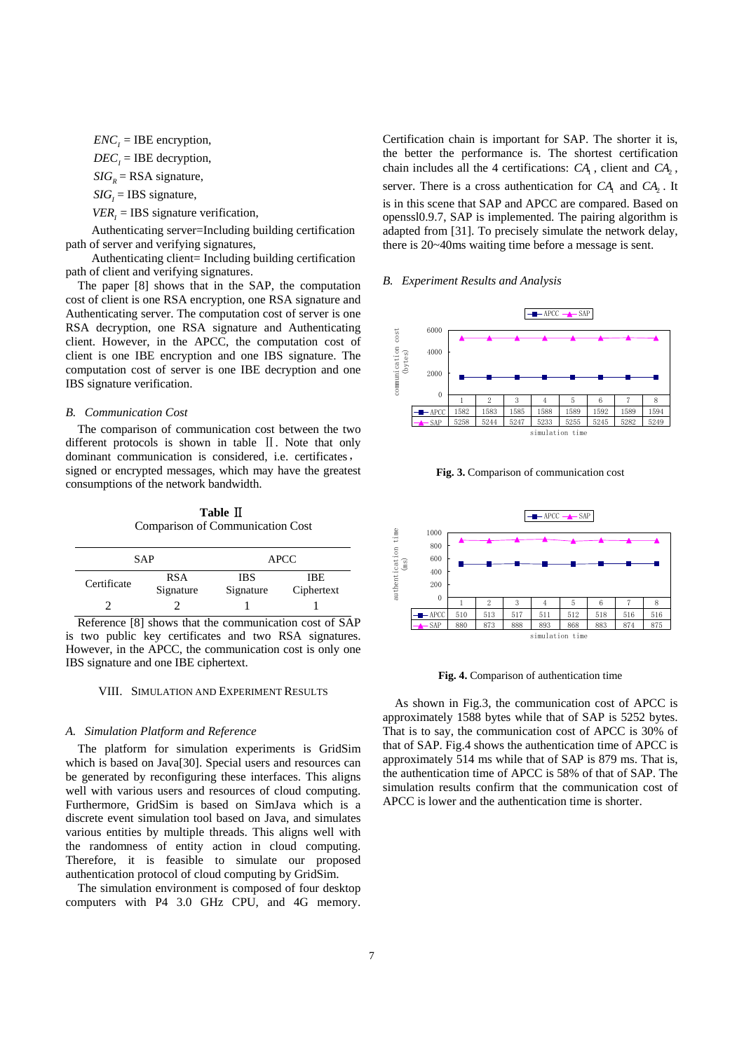$ENC<sub>i</sub> = IBE encryption,$ 

 $DEC<sub>i</sub> = IBE$  decryption,

 $SIG<sub>R</sub>$  = RSA signature,

 $SIG<sub>i</sub> = IBS$  signature,

 $VER<sub>i</sub> = IBS$  signature verification,

Authenticating server=Including building certification path of server and verifying signatures,

Authenticating client= Including building certification path of client and verifying signatures.

The paper [8] shows that in the SAP, the computation cost of client is one RSA encryption, one RSA signature and Authenticating server. The computation cost of server is one RSA decryption, one RSA signature and Authenticating client. However, in the APCC, the computation cost of client is one IBE encryption and one IBS signature. The computation cost of server is one IBE decryption and one IBS signature verification.

### *B. Communication Cost*

The comparison of communication cost between the two different protocols is shown in table II. Note that only dominant communication is considered, i.e. certificates, signed or encrypted messages, which may have the greatest consumptions of the network bandwidth.

**Table** Ⅱ Comparison of Communication Cost

|             | SAP                     | <b>APCC</b>             |                   |
|-------------|-------------------------|-------------------------|-------------------|
| Certificate | <b>RSA</b><br>Signature | <b>IBS</b><br>Signature | IBE<br>Ciphertext |
|             |                         |                         |                   |

Reference [8] shows that the communication cost of SAP is two public key certificates and two RSA signatures. However, in the APCC, the communication cost is only one IBS signature and one IBE ciphertext.

### VIII. SIMULATION AND EXPERIMENT RESULTS

### *A. Simulation Platform and Reference*

The platform for simulation experiments is GridSim which is based on Java[30]. Special users and resources can be generated by reconfiguring these interfaces. This aligns well with various users and resources of cloud computing. Furthermore, GridSim is based on SimJava which is a discrete event simulation tool based on Java, and simulates various entities by multiple threads. This aligns well with the randomness of entity action in cloud computing. Therefore, it is feasible to simulate our proposed authentication protocol of cloud computing by GridSim.

The simulation environment is composed of four desktop computers with P4 3.0 GHz CPU, and 4G memory.

Certification chain is important for SAP. The shorter it is, the better the performance is. The shortest certification chain includes all the 4 certifications:  $CA<sub>1</sub>$ , client and  $CA<sub>2</sub>$ , server. There is a cross authentication for *CA*<sub>1</sub> and *CA*<sub>2</sub>. It is in this scene that SAP and APCC are compared. Based on openssl0.9.7, SAP is implemented. The pairing algorithm is adapted from [31]. To precisely simulate the network delay, there is 20~40ms waiting time before a message is sent.

### *B. Experiment Results and Analysis*



**Fig. 3.** Comparison of communication cost



**Fig. 4.** Comparison of authentication time

As shown in Fig.3, the communication cost of APCC is approximately 1588 bytes while that of SAP is 5252 bytes. That is to say, the communication cost of APCC is 30% of that of SAP. Fig.4 shows the authentication time of APCC is approximately 514 ms while that of SAP is 879 ms. That is, the authentication time of APCC is 58% of that of SAP. The simulation results confirm that the communication cost of APCC is lower and the authentication time is shorter.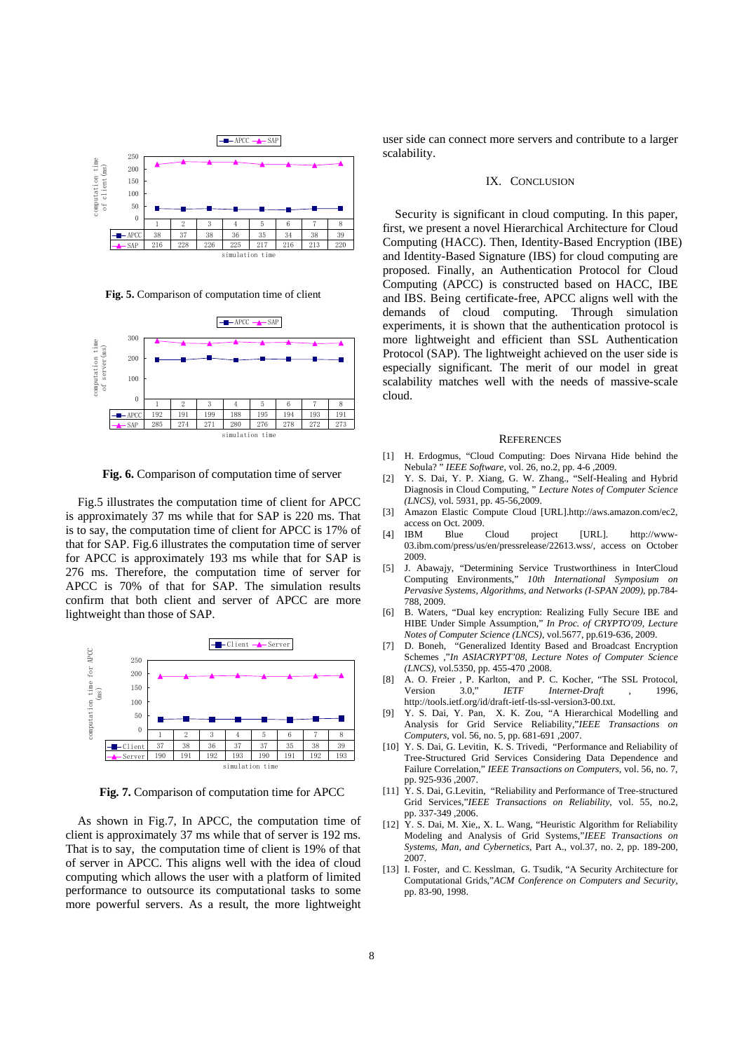

**Fig. 5.** Comparison of computation time of client



**Fig. 6.** Comparison of computation time of server

Fig.5 illustrates the computation time of client for APCC is approximately 37 ms while that for SAP is 220 ms. That is to say, the computation time of client for APCC is 17% of that for SAP. Fig.6 illustrates the computation time of server for APCC is approximately 193 ms while that for SAP is 276 ms. Therefore, the computation time of server for APCC is 70% of that for SAP. The simulation results confirm that both client and server of APCC are more lightweight than those of SAP.



**Fig. 7.** Comparison of computation time for APCC

As shown in Fig.7, In APCC, the computation time of client is approximately 37 ms while that of server is 192 ms. That is to say, the computation time of client is 19% of that of server in APCC. This aligns well with the idea of cloud computing which allows the user with a platform of limited performance to outsource its computational tasks to some more powerful servers. As a result, the more lightweight user side can connect more servers and contribute to a larger scalability.

#### IX. CONCLUSION

Security is significant in cloud computing. In this paper, first, we present a novel Hierarchical Architecture for Cloud Computing (HACC). Then, Identity-Based Encryption (IBE) and Identity-Based Signature (IBS) for cloud computing are proposed. Finally, an Authentication Protocol for Cloud Computing (APCC) is constructed based on HACC, IBE and IBS. Being certificate-free, APCC aligns well with the demands of cloud computing. Through simulation experiments, it is shown that the authentication protocol is more lightweight and efficient than SSL Authentication Protocol (SAP). The lightweight achieved on the user side is especially significant. The merit of our model in great scalability matches well with the needs of massive-scale cloud.

#### **REFERENCES**

- [1] H. Erdogmus, "Cloud Computing: Does Nirvana Hide behind the Nebula? " *IEEE Software*, vol. 26, no.2, pp. 4-6 ,2009.
- [2] Y. S. Dai, Y. P. Xiang, G. W. Zhang., "Self-Healing and Hybrid Diagnosis in Cloud Computing, " *Lecture Notes of Computer Science (LNCS)*, vol. 5931, pp. 45-56,2009.
- [3] Amazon Elastic Compute Cloud [URL].http://aws.amazon.com/ec2, access on Oct. 2009.
- [4] IBM Blue Cloud project [URL]. http://www-03.ibm.com/press/us/en/pressrelease/22613.wss/, access on October 2009.
- [5] J. Abawajy, "Determining Service Trustworthiness in InterCloud Computing Environments," *10th International Symposium on Pervasive Systems, Algorithms, and Networks (I-SPAN 2009)*, pp.784- 788, 2009.
- [6] B. Waters, "Dual key encryption: Realizing Fully Secure IBE and HIBE Under Simple Assumption," *In Proc. of CRYPTO'09, Lecture Notes of Computer Science (LNCS)*, vol.5677, pp.619-636, 2009.
- [7] D. Boneh, "Generalized Identity Based and Broadcast Encryption Schemes ,"*In ASIACRYPT'08, Lecture Notes of Computer Science (LNCS)*, vol.5350, pp. 455-470 ,2008.
- [8] A. O. Freier , P. Karlton, and P. C. Kocher, "The SSL Protocol, Version 3.0," IETF Internet-Draft , 1996, Version 3.0," *IETF Internet-Draft* , 1996, http://tools.ietf.org/id/draft-ietf-tls-ssl-version3-00.txt.
- [9] Y. S. Dai, Y. Pan, X. K. Zou, "A Hierarchical Modelling and Analysis for Grid Service Reliability,"*IEEE Transactions on Computers*, vol. 56, no. 5, pp. 681-691 ,2007.
- [10] Y. S. Dai, G. Levitin, K. S. Trivedi, "Performance and Reliability of Tree-Structured Grid Services Considering Data Dependence and Failure Correlation," *IEEE Transactions on Computers*, vol. 56, no. 7, pp. 925-936 ,2007.
- [11] Y. S. Dai, G.Levitin, "Reliability and Performance of Tree-structured Grid Services,"*IEEE Transactions on Reliability*, vol. 55, no.2, pp. 337-349 ,2006.
- [12] Y. S. Dai, M. Xie,, X. L. Wang, "Heuristic Algorithm for Reliability Modeling and Analysis of Grid Systems,"*IEEE Transactions on Systems, Man, and Cybernetics*, Part A., vol.37, no. 2, pp. 189-200, 2007.
- [13] I. Foster, and C. Kesslman, G. Tsudik, "A Security Architecture for Computational Grids,"*ACM Conference on Computers and Security*, pp. 83-90, 1998.